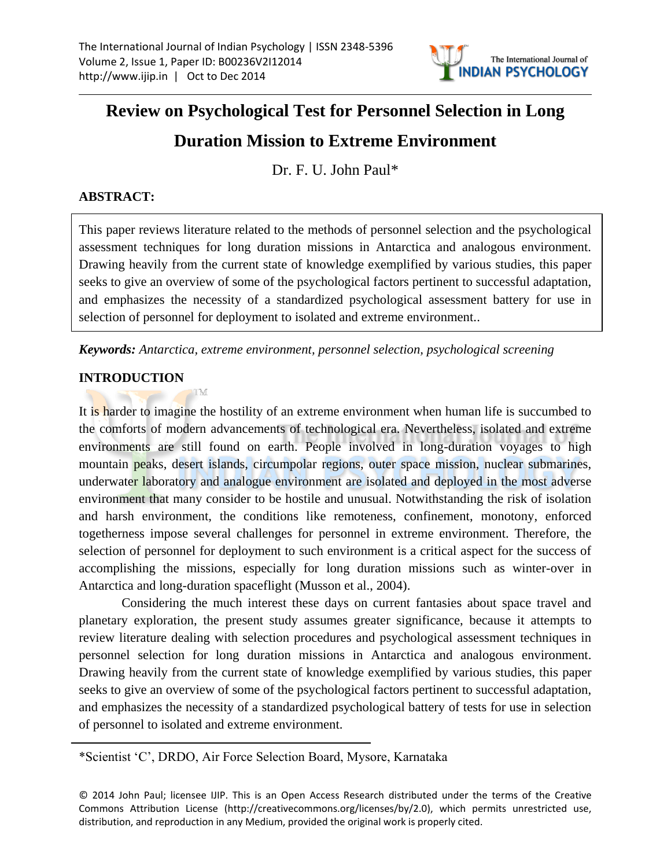

# **Review on Psychological Test for Personnel Selection in Long**

# **Duration Mission to Extreme Environment**

Dr. F. U. John Paul\*

# **ABSTRACT:**

This paper reviews literature related to the methods of personnel selection and the psychological assessment techniques for long duration missions in Antarctica and analogous environment. Drawing heavily from the current state of knowledge exemplified by various studies, this paper seeks to give an overview of some of the psychological factors pertinent to successful adaptation, and emphasizes the necessity of a standardized psychological assessment battery for use in selection of personnel for deployment to isolated and extreme environment..

*Keywords: Antarctica, extreme environment, personnel selection, psychological screening*

## **INTRODUCTION**

It is harder to imagine the hostility of an extreme environment when human life is succumbed to the comforts of modern advancements of technological era. Nevertheless, isolated and extreme environments are still found on earth. People involved in long-duration voyages to high mountain peaks, desert islands, circumpolar regions, outer space mission, nuclear submarines, underwater laboratory and analogue environment are isolated and deployed in the most adverse environment that many consider to be hostile and unusual. Notwithstanding the risk of isolation and harsh environment, the conditions like remoteness, confinement, monotony, enforced togetherness impose several challenges for personnel in extreme environment. Therefore, the selection of personnel for deployment to such environment is a critical aspect for the success of accomplishing the missions, especially for long duration missions such as winter-over in Antarctica and long-duration spaceflight (Musson et al., 2004).

Considering the much interest these days on current fantasies about space travel and planetary exploration, the present study assumes greater significance, because it attempts to review literature dealing with selection procedures and psychological assessment techniques in personnel selection for long duration missions in Antarctica and analogous environment. Drawing heavily from the current state of knowledge exemplified by various studies, this paper seeks to give an overview of some of the psychological factors pertinent to successful adaptation, and emphasizes the necessity of a standardized psychological battery of tests for use in selection of personnel to isolated and extreme environment.

\*Scientist "C", DRDO, Air Force Selection Board, Mysore, Karnataka

<sup>© 2014</sup> John Paul; licensee IJIP. This is an Open Access Research distributed under the terms of the Creative Commons Attribution License (http://creativecommons.org/licenses/by/2.0), which permits unrestricted use, distribution, and reproduction in any Medium, provided the original work is properly cited.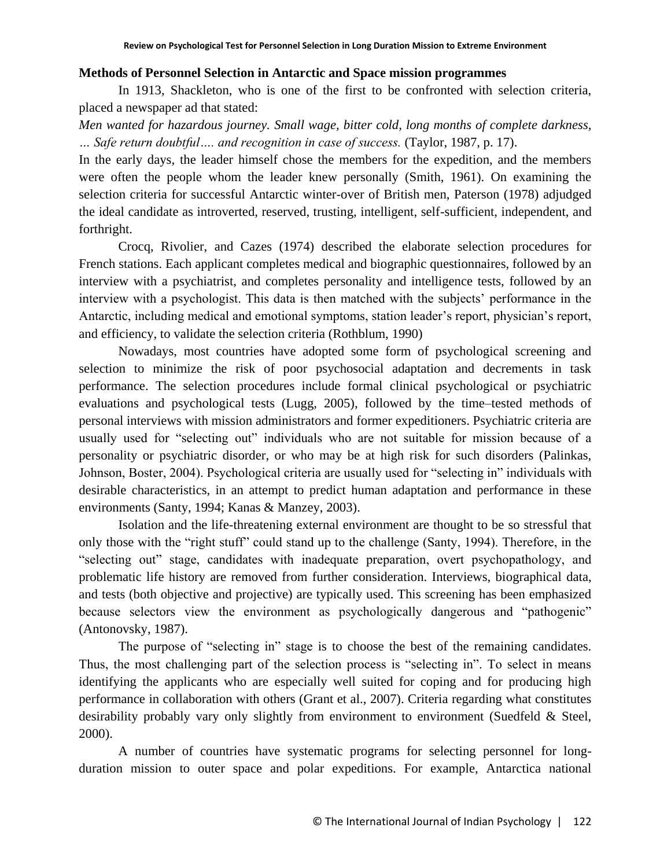#### **Methods of Personnel Selection in Antarctic and Space mission programmes**

In 1913, Shackleton, who is one of the first to be confronted with selection criteria, placed a newspaper ad that stated:

*Men wanted for hazardous journey. Small wage, bitter cold, long months of complete darkness, … Safe return doubtful…. and recognition in case of success.* (Taylor, 1987, p. 17).

In the early days, the leader himself chose the members for the expedition, and the members were often the people whom the leader knew personally (Smith, 1961). On examining the selection criteria for successful Antarctic winter-over of British men, Paterson (1978) adjudged the ideal candidate as introverted, reserved, trusting, intelligent, self-sufficient, independent, and forthright.

Crocq, Rivolier, and Cazes (1974) described the elaborate selection procedures for French stations. Each applicant completes medical and biographic questionnaires, followed by an interview with a psychiatrist, and completes personality and intelligence tests, followed by an interview with a psychologist. This data is then matched with the subjects' performance in the Antarctic, including medical and emotional symptoms, station leader"s report, physician"s report, and efficiency, to validate the selection criteria (Rothblum, 1990)

Nowadays, most countries have adopted some form of psychological screening and selection to minimize the risk of poor psychosocial adaptation and decrements in task performance. The selection procedures include formal clinical psychological or psychiatric evaluations and psychological tests (Lugg, 2005), followed by the time–tested methods of personal interviews with mission administrators and former expeditioners. Psychiatric criteria are usually used for "selecting out" individuals who are not suitable for mission because of a personality or psychiatric disorder, or who may be at high risk for such disorders (Palinkas, Johnson, Boster, 2004). Psychological criteria are usually used for "selecting in" individuals with desirable characteristics, in an attempt to predict human adaptation and performance in these environments (Santy, 1994; Kanas & Manzey, 2003).

Isolation and the life-threatening external environment are thought to be so stressful that only those with the "right stuff" could stand up to the challenge (Santy, 1994). Therefore, in the "selecting out" stage, candidates with inadequate preparation, overt psychopathology, and problematic life history are removed from further consideration. Interviews, biographical data, and tests (both objective and projective) are typically used. This screening has been emphasized because selectors view the environment as psychologically dangerous and "pathogenic" (Antonovsky, 1987).

The purpose of "selecting in" stage is to choose the best of the remaining candidates. Thus, the most challenging part of the selection process is "selecting in". To select in means identifying the applicants who are especially well suited for coping and for producing high performance in collaboration with others (Grant et al., 2007). Criteria regarding what constitutes desirability probably vary only slightly from environment to environment (Suedfeld & Steel, 2000).

A number of countries have systematic programs for selecting personnel for longduration mission to outer space and polar expeditions. For example, Antarctica national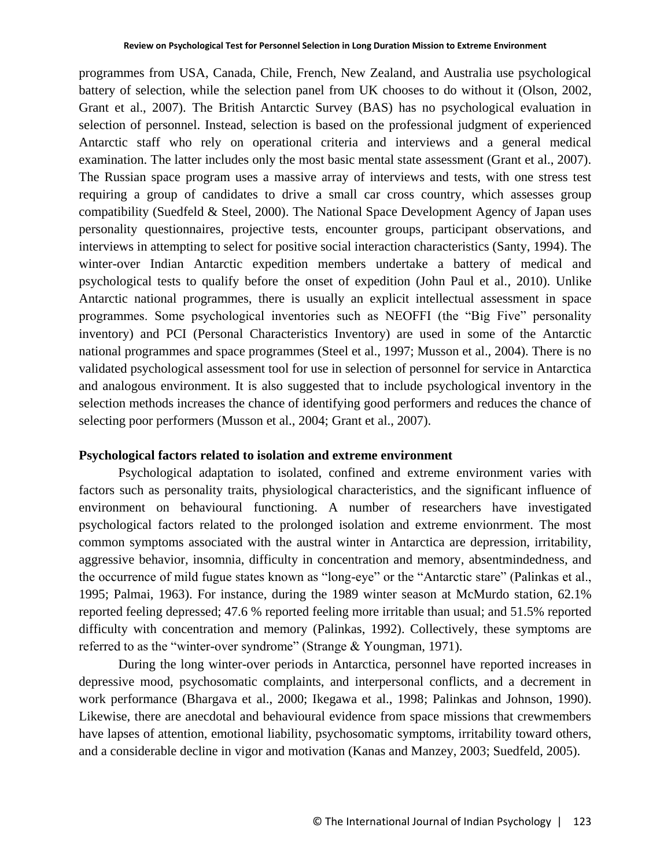programmes from USA, Canada, Chile, French, New Zealand, and Australia use psychological battery of selection, while the selection panel from UK chooses to do without it (Olson, 2002, Grant et al., 2007). The British Antarctic Survey (BAS) has no psychological evaluation in selection of personnel. Instead, selection is based on the professional judgment of experienced Antarctic staff who rely on operational criteria and interviews and a general medical examination. The latter includes only the most basic mental state assessment (Grant et al., 2007). The Russian space program uses a massive array of interviews and tests, with one stress test requiring a group of candidates to drive a small car cross country, which assesses group compatibility (Suedfeld & Steel, 2000). The National Space Development Agency of Japan uses personality questionnaires, projective tests, encounter groups, participant observations, and interviews in attempting to select for positive social interaction characteristics (Santy, 1994). The winter-over Indian Antarctic expedition members undertake a battery of medical and psychological tests to qualify before the onset of expedition (John Paul et al., 2010). Unlike Antarctic national programmes, there is usually an explicit intellectual assessment in space programmes. Some psychological inventories such as NEOFFI (the "Big Five" personality inventory) and PCI (Personal Characteristics Inventory) are used in some of the Antarctic national programmes and space programmes (Steel et al., 1997; Musson et al., 2004). There is no validated psychological assessment tool for use in selection of personnel for service in Antarctica and analogous environment. It is also suggested that to include psychological inventory in the selection methods increases the chance of identifying good performers and reduces the chance of selecting poor performers (Musson et al., 2004; Grant et al., 2007).

#### **Psychological factors related to isolation and extreme environment**

Psychological adaptation to isolated, confined and extreme environment varies with factors such as personality traits, physiological characteristics, and the significant influence of environment on behavioural functioning. A number of researchers have investigated psychological factors related to the prolonged isolation and extreme envionrment. The most common symptoms associated with the austral winter in Antarctica are depression, irritability, aggressive behavior, insomnia, difficulty in concentration and memory, absentmindedness, and the occurrence of mild fugue states known as "long-eye" or the "Antarctic stare" (Palinkas et al., 1995; Palmai, 1963). For instance, during the 1989 winter season at McMurdo station, 62.1% reported feeling depressed; 47.6 % reported feeling more irritable than usual; and 51.5% reported difficulty with concentration and memory (Palinkas, 1992). Collectively, these symptoms are referred to as the "winter-over syndrome" (Strange & Youngman, 1971).

During the long winter-over periods in Antarctica, personnel have reported increases in depressive mood, psychosomatic complaints, and interpersonal conflicts, and a decrement in work performance (Bhargava et al., 2000; Ikegawa et al., 1998; Palinkas and Johnson, 1990). Likewise, there are anecdotal and behavioural evidence from space missions that crewmembers have lapses of attention, emotional liability, psychosomatic symptoms, irritability toward others, and a considerable decline in vigor and motivation (Kanas and Manzey, 2003; Suedfeld, 2005).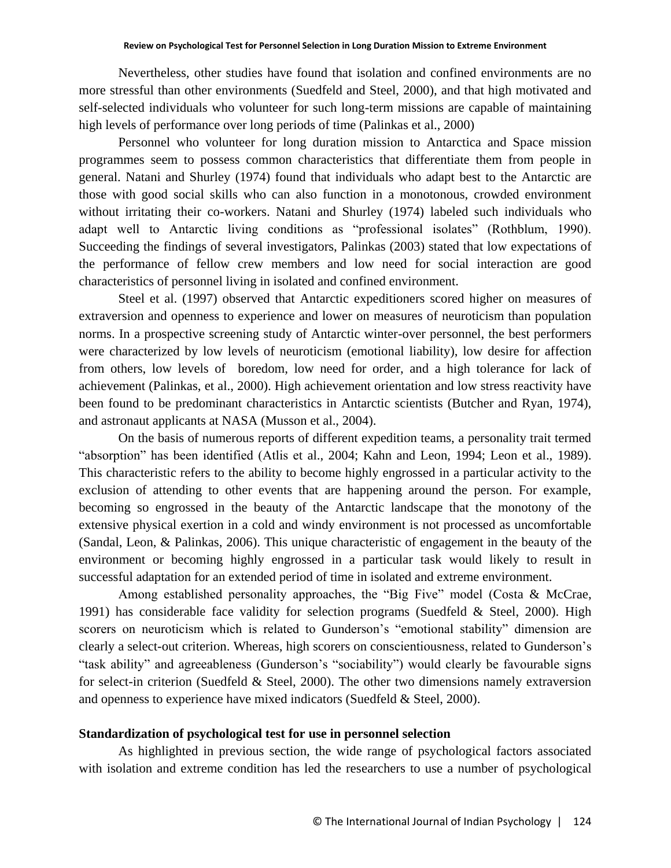Nevertheless, other studies have found that isolation and confined environments are no more stressful than other environments (Suedfeld and Steel, 2000), and that high motivated and self-selected individuals who volunteer for such long-term missions are capable of maintaining high levels of performance over long periods of time (Palinkas et al., 2000)

Personnel who volunteer for long duration mission to Antarctica and Space mission programmes seem to possess common characteristics that differentiate them from people in general. Natani and Shurley (1974) found that individuals who adapt best to the Antarctic are those with good social skills who can also function in a monotonous, crowded environment without irritating their co-workers. Natani and Shurley (1974) labeled such individuals who adapt well to Antarctic living conditions as "professional isolates" (Rothblum, 1990). Succeeding the findings of several investigators, Palinkas (2003) stated that low expectations of the performance of fellow crew members and low need for social interaction are good characteristics of personnel living in isolated and confined environment.

Steel et al. (1997) observed that Antarctic expeditioners scored higher on measures of extraversion and openness to experience and lower on measures of neuroticism than population norms. In a prospective screening study of Antarctic winter-over personnel, the best performers were characterized by low levels of neuroticism (emotional liability), low desire for affection from others, low levels of boredom, low need for order, and a high tolerance for lack of achievement (Palinkas, et al., 2000). High achievement orientation and low stress reactivity have been found to be predominant characteristics in Antarctic scientists (Butcher and Ryan, 1974), and astronaut applicants at NASA (Musson et al., 2004).

On the basis of numerous reports of different expedition teams, a personality trait termed "absorption" has been identified (Atlis et al., 2004; Kahn and Leon, 1994; Leon et al., 1989). This characteristic refers to the ability to become highly engrossed in a particular activity to the exclusion of attending to other events that are happening around the person. For example, becoming so engrossed in the beauty of the Antarctic landscape that the monotony of the extensive physical exertion in a cold and windy environment is not processed as uncomfortable (Sandal, Leon, & Palinkas, 2006). This unique characteristic of engagement in the beauty of the environment or becoming highly engrossed in a particular task would likely to result in successful adaptation for an extended period of time in isolated and extreme environment.

Among established personality approaches, the "Big Five" model (Costa & McCrae, 1991) has considerable face validity for selection programs (Suedfeld & Steel, 2000). High scorers on neuroticism which is related to Gunderson's "emotional stability" dimension are clearly a select-out criterion. Whereas, high scorers on conscientiousness, related to Gunderson"s "task ability" and agreeableness (Gunderson"s "sociability") would clearly be favourable signs for select-in criterion (Suedfeld & Steel, 2000). The other two dimensions namely extraversion and openness to experience have mixed indicators (Suedfeld & Steel, 2000).

### **Standardization of psychological test for use in personnel selection**

As highlighted in previous section, the wide range of psychological factors associated with isolation and extreme condition has led the researchers to use a number of psychological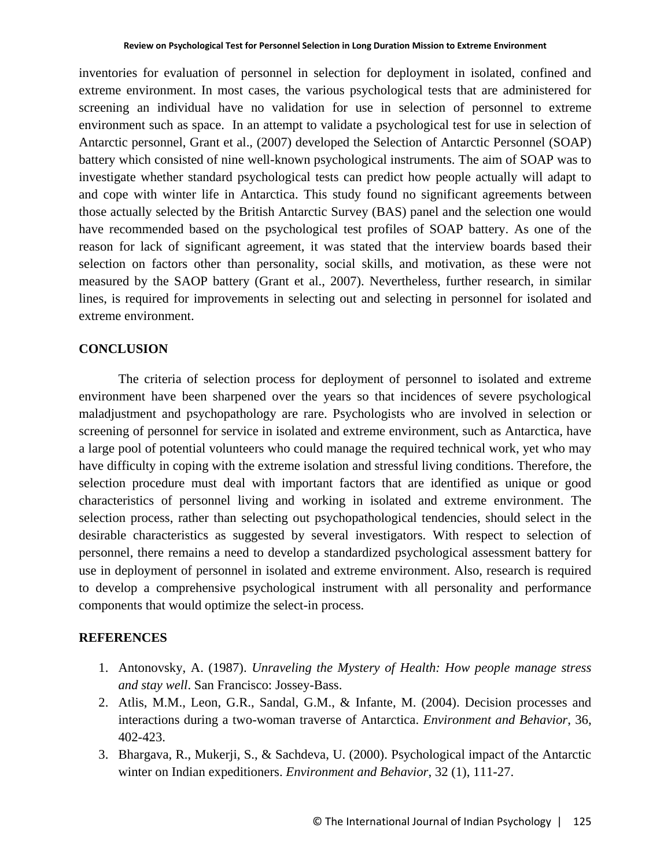inventories for evaluation of personnel in selection for deployment in isolated, confined and extreme environment. In most cases, the various psychological tests that are administered for screening an individual have no validation for use in selection of personnel to extreme environment such as space. In an attempt to validate a psychological test for use in selection of Antarctic personnel, Grant et al., (2007) developed the Selection of Antarctic Personnel (SOAP) battery which consisted of nine well-known psychological instruments. The aim of SOAP was to investigate whether standard psychological tests can predict how people actually will adapt to and cope with winter life in Antarctica. This study found no significant agreements between those actually selected by the British Antarctic Survey (BAS) panel and the selection one would have recommended based on the psychological test profiles of SOAP battery. As one of the reason for lack of significant agreement, it was stated that the interview boards based their selection on factors other than personality, social skills, and motivation, as these were not measured by the SAOP battery (Grant et al., 2007). Nevertheless, further research, in similar lines, is required for improvements in selecting out and selecting in personnel for isolated and extreme environment.

#### **CONCLUSION**

The criteria of selection process for deployment of personnel to isolated and extreme environment have been sharpened over the years so that incidences of severe psychological maladjustment and psychopathology are rare. Psychologists who are involved in selection or screening of personnel for service in isolated and extreme environment, such as Antarctica, have a large pool of potential volunteers who could manage the required technical work, yet who may have difficulty in coping with the extreme isolation and stressful living conditions. Therefore, the selection procedure must deal with important factors that are identified as unique or good characteristics of personnel living and working in isolated and extreme environment. The selection process, rather than selecting out psychopathological tendencies, should select in the desirable characteristics as suggested by several investigators. With respect to selection of personnel, there remains a need to develop a standardized psychological assessment battery for use in deployment of personnel in isolated and extreme environment. Also, research is required to develop a comprehensive psychological instrument with all personality and performance components that would optimize the select-in process.

#### **REFERENCES**

- 1. Antonovsky, A. (1987). *Unraveling the Mystery of Health: How people manage stress and stay well*. San Francisco: Jossey-Bass.
- 2. Atlis, M.M., Leon, G.R., Sandal, G.M., & Infante, M. (2004). Decision processes and interactions during a two-woman traverse of Antarctica. *Environment and Behavior*, 36, 402-423.
- 3. Bhargava, R., Mukerji, S., & Sachdeva, U. (2000). Psychological impact of the Antarctic winter on Indian expeditioners. *Environment and Behavior*, 32 (1), 111-27.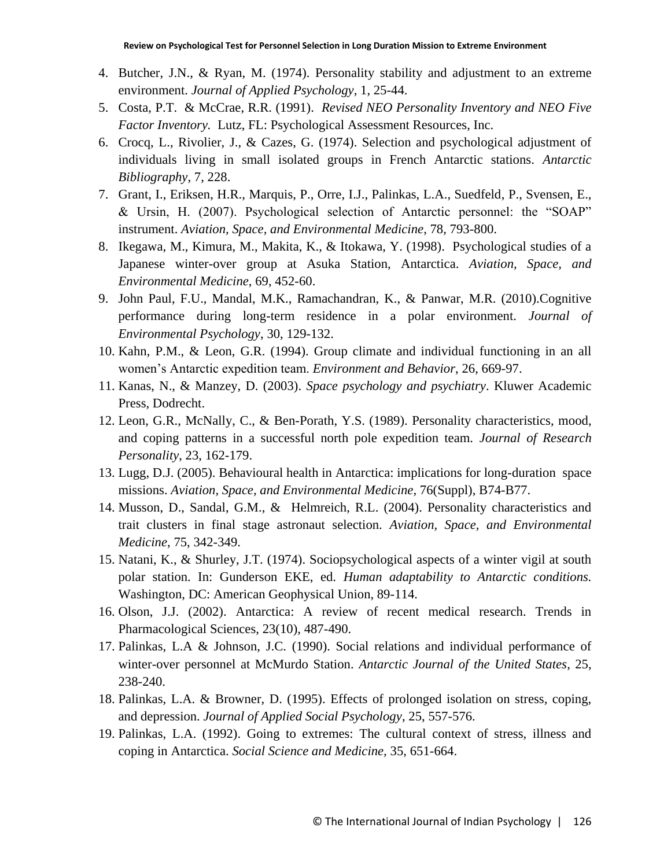- 4. Butcher, J.N., & Ryan, M. (1974). Personality stability and adjustment to an extreme environment. *Journal of Applied Psychology*, 1, 25-44.
- 5. Costa, P.T. & McCrae, R.R. (1991). *Revised NEO Personality Inventory and NEO Five Factor Inventory.* Lutz, FL: Psychological Assessment Resources, Inc.
- 6. Crocq, L., Rivolier, J., & Cazes, G. (1974). Selection and psychological adjustment of individuals living in small isolated groups in French Antarctic stations. *Antarctic Bibliography*, 7, 228.
- 7. Grant, I., Eriksen, H.R., Marquis, P., Orre, I.J., Palinkas, L.A., Suedfeld, P., Svensen, E., & Ursin, H. (2007). Psychological selection of Antarctic personnel: the "SOAP" instrument. *Aviation, Space, and Environmental Medicine*, 78, 793-800.
- 8. Ikegawa, M., Kimura, M., Makita, K., & Itokawa, Y. (1998). Psychological studies of a Japanese winter-over group at Asuka Station, Antarctica. *Aviation, Space, and Environmental Medicine*, 69, 452-60.
- 9. John Paul, F.U., Mandal, M.K., Ramachandran, K., & Panwar, M.R. (2010).Cognitive performance during long-term residence in a polar environment. *Journal of Environmental Psychology*, 30, 129-132.
- 10. Kahn, P.M., & Leon, G.R. (1994). Group climate and individual functioning in an all women"s Antarctic expedition team. *Environment and Behavior*, 26, 669-97.
- 11. Kanas, N., & Manzey, D. (2003). *Space psychology and psychiatry*. Kluwer Academic Press, Dodrecht.
- 12. Leon, G.R., McNally, C., & Ben-Porath, Y.S. (1989). Personality characteristics, mood, and coping patterns in a successful north pole expedition team. *Journal of Research Personality*, 23, 162-179.
- 13. Lugg, D.J. (2005). Behavioural health in Antarctica: implications for long-duration space missions. *Aviation, Space, and Environmental Medicine*, 76(Suppl), B74-B77.
- 14. Musson, D., Sandal, G.M., & Helmreich, R.L. (2004). Personality characteristics and trait clusters in final stage astronaut selection. *Aviation, Space, and Environmental Medicine*, 75, 342-349.
- 15. Natani, K., & Shurley, J.T. (1974). Sociopsychological aspects of a winter vigil at south polar station. In: Gunderson EKE, ed. *Human adaptability to Antarctic conditions.*  Washington, DC: American Geophysical Union, 89-114.
- 16. Olson, J.J. (2002). Antarctica: A review of recent medical research. Trends in Pharmacological Sciences, 23(10), 487-490.
- 17. Palinkas, L.A & Johnson, J.C. (1990). Social relations and individual performance of winter-over personnel at McMurdo Station. *Antarctic Journal of the United States*, 25, 238-240.
- 18. Palinkas, L.A. & Browner, D. (1995). Effects of prolonged isolation on stress, coping, and depression. *Journal of Applied Social Psychology*, 25, 557-576.
- 19. Palinkas, L.A. (1992). Going to extremes: The cultural context of stress, illness and coping in Antarctica. *Social Science and Medicine,* 35, 651-664.